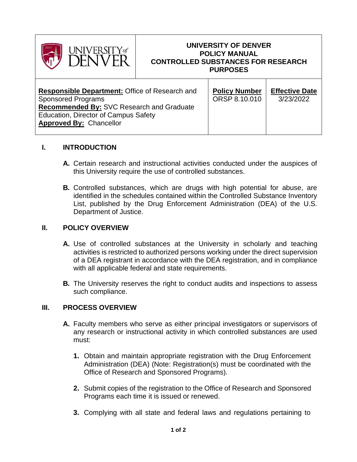

### **UNIVERSITY OF DENVER POLICY MANUAL CONTROLLED SUBSTANCES FOR RESEARCH PURPOSES**

| <b>Responsible Department: Office of Research and</b><br><b>Sponsored Programs</b><br><b>Recommended By: SVC Research and Graduate</b><br><b>Education, Director of Campus Safety</b><br><b>Approved By: Chancellor</b> | <b>Policy Number</b><br>ORSP 8.10.010 | <b>Effective Date</b><br>3/23/2022 |
|-------------------------------------------------------------------------------------------------------------------------------------------------------------------------------------------------------------------------|---------------------------------------|------------------------------------|
|-------------------------------------------------------------------------------------------------------------------------------------------------------------------------------------------------------------------------|---------------------------------------|------------------------------------|

# **I. INTRODUCTION**

- **A.** Certain research and instructional activities conducted under the auspices of this University require the use of controlled substances.
- **B.** Controlled substances, which are drugs with high potential for abuse, are identified in the schedules contained within the Controlled Substance Inventory List, published by the Drug Enforcement Administration (DEA) of the U.S. Department of Justice.

# **II. POLICY OVERVIEW**

- **A.** Use of controlled substances at the University in scholarly and teaching activities is restricted to authorized persons working under the direct supervision of a DEA registrant in accordance with the DEA registration, and in compliance with all applicable federal and state requirements.
- **B.** The University reserves the right to conduct audits and inspections to assess such compliance.

# **III. PROCESS OVERVIEW**

- **A.** Faculty members who serve as either principal investigators or supervisors of any research or instructional activity in which controlled substances are used must:
	- **1.** Obtain and maintain appropriate registration with the Drug Enforcement Administration (DEA) (Note: Registration(s) must be coordinated with the Office of Research and Sponsored Programs).
	- **2.** Submit copies of the registration to the Office of Research and Sponsored Programs each time it is issued or renewed.
	- **3.** Complying with all state and federal laws and regulations pertaining to